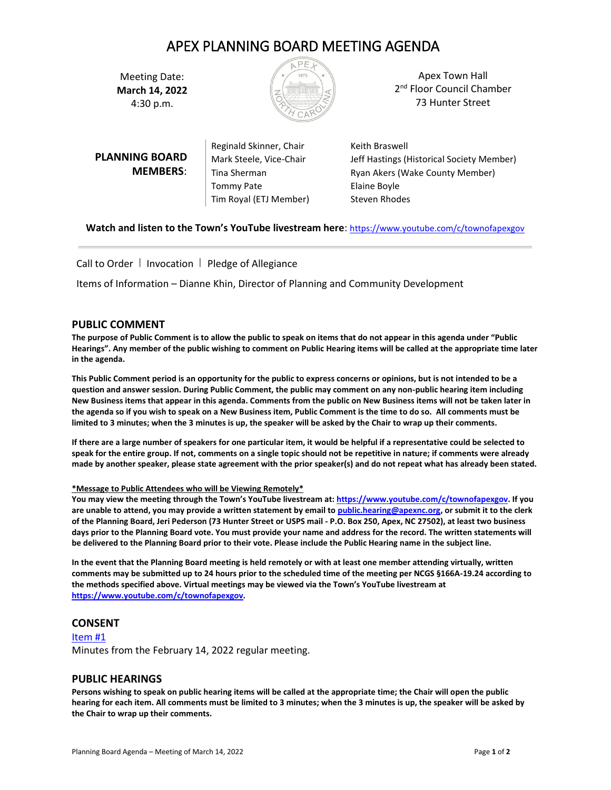# APEX PLANNING BOARD MEETING AGENDA

Meeting Date: **March 14, 2022**  4:30 p.m.



Apex Town Hall 2<sup>nd</sup> Floor Council Chamber 73 Hunter Street

|                       | Reginald Skinner, Chair | Keith Braswell                            |
|-----------------------|-------------------------|-------------------------------------------|
| <b>PLANNING BOARD</b> | Mark Steele, Vice-Chair | Jeff Hastings (Historical Society Member) |
| <b>MEMBERS:</b>       | Tina Sherman            | Ryan Akers (Wake County Member)           |
|                       | <b>Tommy Pate</b>       | Elaine Boyle                              |
|                       | Tim Royal (ETJ Member)  | Steven Rhodes                             |
|                       |                         |                                           |

**Watch and listen to the Town's YouTube livestream here**: <https://www.youtube.com/c/townofapexgov>

Call to Order | Invocation | Pledge of Allegiance

Items of Information – Dianne Khin, Director of Planning and Community Development

# **PUBLIC COMMENT**

**The purpose of Public Comment is to allow the public to speak on items that do not appear in this agenda under "Public Hearings". Any member of the public wishing to comment on Public Hearing items will be called at the appropriate time later in the agenda.** 

**This Public Comment period is an opportunity for the public to express concerns or opinions, but is not intended to be a question and answer session. During Public Comment, the public may comment on any non-public hearing item including New Business items that appear in this agenda. Comments from the public on New Business items will not be taken later in the agenda so if you wish to speak on a New Business item, Public Comment is the time to do so. All comments must be limited to 3 minutes; when the 3 minutes is up, the speaker will be asked by the Chair to wrap up their comments.** 

**If there are a large number of speakers for one particular item, it would be helpful if a representative could be selected to speak for the entire group. If not, comments on a single topic should not be repetitive in nature; if comments were already made by another speaker, please state agreement with the prior speaker(s) and do not repeat what has already been stated.**

## **\*Message to Public Attendees who will be Viewing Remotely\***

**You may view the meeting through the Town's YouTube livestream at: [https://www.youtube.com/c/townofapexgov.](https://www.youtube.com/c/townofapexgov) If you are unable to attend, you may provide a written statement by email t[o public.hearing@apexnc.org,](mailto:public.hearing@apexnc.org) or submit it to the clerk of the Planning Board, Jeri Pederson (73 Hunter Street or USPS mail - P.O. Box 250, Apex, NC 27502), at least two business days prior to the Planning Board vote. You must provide your name and address for the record. The written statements will be delivered to the Planning Board prior to their vote. Please include the Public Hearing name in the subject line.**

**In the event that the Planning Board meeting is held remotely or with at least one member attending virtually, written comments may be submitted up to 24 hours prior to the scheduled time of the meeting per NCGS §166A-19.24 according to the methods specified above. Virtual meetings may be viewed via the Town's YouTube livestream at [https://www.youtube.com/c/townofapexgov.](https://www.youtube.com/c/townofapexgov)**

# **CONSENT**

[Item #1](https://www.apexnc.org/DocumentCenter/View/38586/01-21422-Minutes-Draft) Minutes from the February 14, 2022 regular meeting.

## **PUBLIC HEARINGS**

**Persons wishing to speak on public hearing items will be called at the appropriate time; the Chair will open the public hearing for each item. All comments must be limited to 3 minutes; when the 3 minutes is up, the speaker will be asked by the Chair to wrap up their comments.**